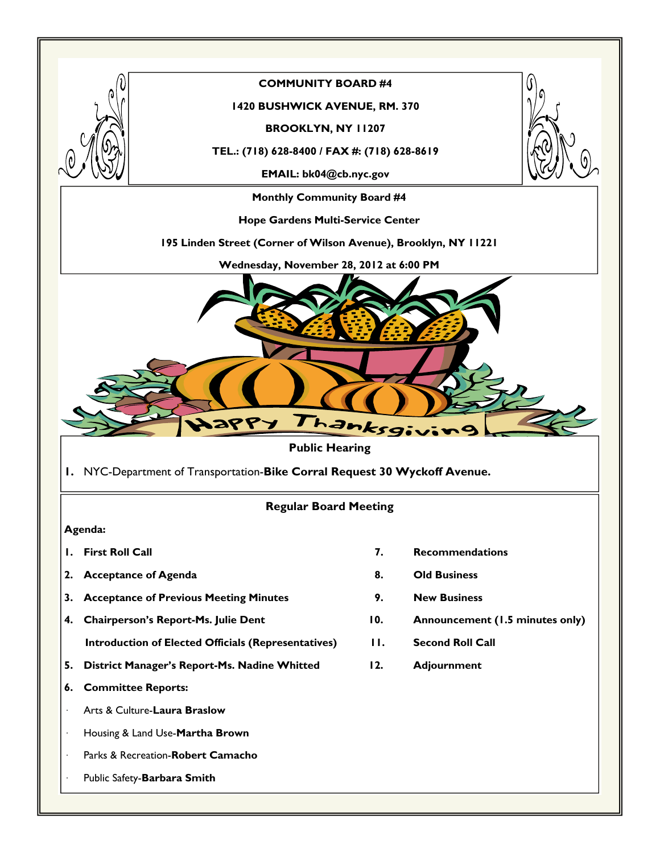

### **COMMUNITY BOARD #4**

#### **1420 BUSHWICK AVENUE, RM. 370**

**BROOKLYN, NY 11207** 

**TEL.: (718) 628-8400 / FAX #: (718) 628-8619** 

**EMAIL: bk04@cb.nyc.gov** 

**Monthly Community Board #4** 

**Hope Gardens Multi-Service Center** 

**195 Linden Street (Corner of Wilson Avenue), Brooklyn, NY 11221** 

**Wednesday, November 28, 2012 at 6:00 PM** 



### **Public Hearing**

**1.** NYC-Department of Transportation-**Bike Corral Request 30 Wyckoff Avenue.** 

### **Regular Board Meeting**

#### **Agenda:**

- 
- 2. Acceptance of Agenda **8.** Old Business
- **3. Acceptance of Previous Meeting Minutes 9. New Business**
- **4. Chairperson's Report-Ms. Julie Dent 10. Announcement (1.5 minutes only)** 
	- **Introduction of Elected Officials (Representatives) 11. Second Roll Call**
- **5. District Manager's Report-Ms. Nadine Whitted 12. Adjournment**
- **6. Committee Reports:**
- · Arts & Culture-**Laura Braslow**
- · Housing & Land Use-**Martha Brown**
- · Parks & Recreation-**Robert Camacho**
- · Public Safety-**Barbara Smith**
- **1. First Roll Call 7. Recommendations** 
	-
	-
	-
	-
	-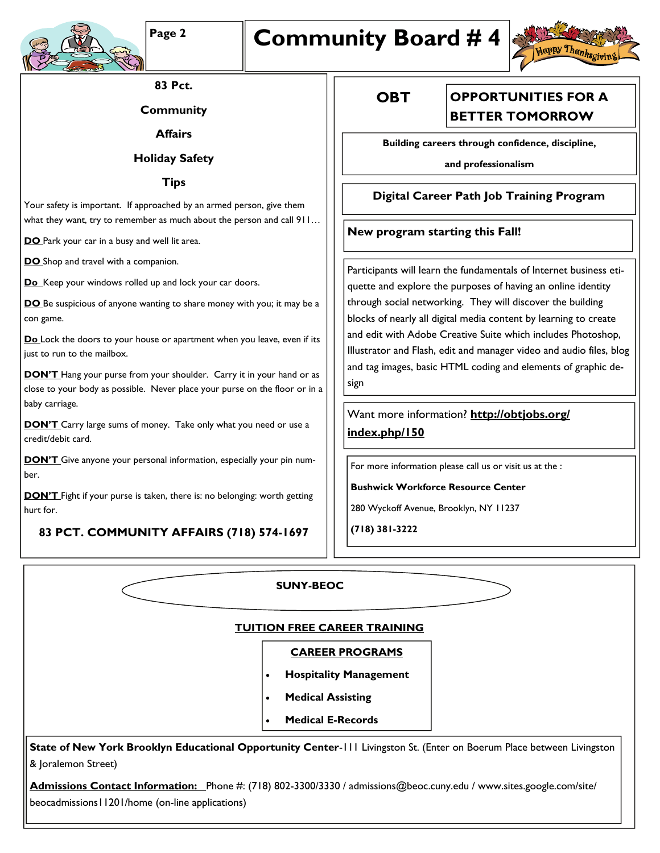

# Page 2 **Community Board #4**



**83 Pct.** 

**Community** 

**Affairs** 

**Holiday Safety** 

**Tips** 

Your safety is important. If approached by an armed person, give them what they want, try to remember as much about the person and call 911...

**DO** Park your car in a busy and well lit area.

**DO** Shop and travel with a companion.

**Do** Keep your windows rolled up and lock your car doors.

**DO** Be suspicious of anyone wanting to share money with you; it may be a con game.

**Do** Lock the doors to your house or apartment when you leave, even if its just to run to the mailbox.

**DON'T** Hang your purse from your shoulder. Carry it in your hand or as close to your body as possible. Never place your purse on the floor or in a baby carriage.

**DON'T** Carry large sums of money. Take only what you need or use a credit/debit card.

**DON'T** Give anyone your personal information, especially your pin number.

**DON'T** Fight if your purse is taken, there is: no belonging: worth getting hurt for.

**83 PCT. COMMUNITY AFFAIRS (718) 574-1697** 

**OBT** 

## **OPPORTUNITIES FOR A BETTER TOMORROW**

**Building careers through confidence, discipline,** 

**and professionalism** 

### **Digital Career Path Job Training Program**

### **New program starting this Fall!**

Participants will learn the fundamentals of Internet business etiquette and explore the purposes of having an online identity through social networking. They will discover the building blocks of nearly all digital media content by learning to create and edit with Adobe Creative Suite which includes Photoshop, Illustrator and Flash, edit and manager video and audio files, blog and tag images, basic HTML coding and elements of graphic design

Want more information? **http://obtjobs.org/ index.php/150**

For more information please call us or visit us at the :

**Bushwick Workforce Resource Center** 

280 Wyckoff Avenue, Brooklyn, NY 11237

**(718) 381-3222** 

|                                                                                                                        | <b>SUNY-BEOC</b>                      |  |
|------------------------------------------------------------------------------------------------------------------------|---------------------------------------|--|
| <b>TUITION FREE CAREER TRAINING</b>                                                                                    |                                       |  |
|                                                                                                                        | <b>CAREER PROGRAMS</b>                |  |
|                                                                                                                        | <b>Hospitality Management</b>         |  |
|                                                                                                                        | <b>Medical Assisting</b>              |  |
|                                                                                                                        | <b>Medical E-Records</b><br>$\bullet$ |  |
| State of New York Brooklyn Educational Opportunity Center-111 Livingston St. (Enter on Boerum Place between Livingston |                                       |  |
| & Joralemon Street)                                                                                                    |                                       |  |

**Admissions Contact Information:** Phone #: (718) 802-3300/3330 / admissions@beoc.cuny.edu / www.sites.google.com/site/ beocadmissions11201/home (on-line applications)